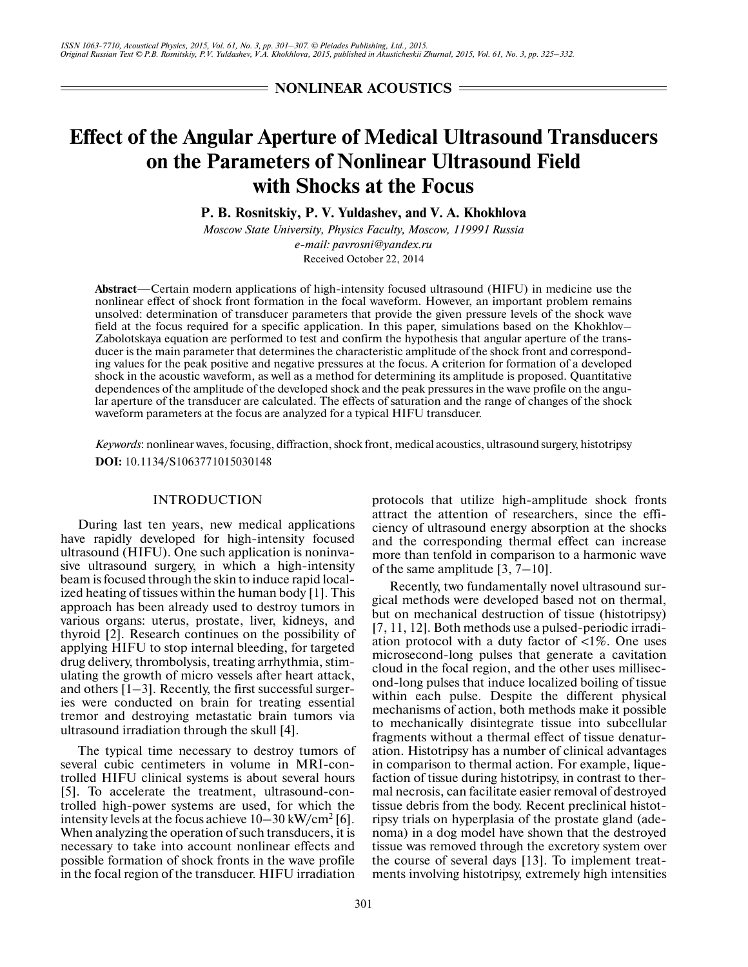**NONLINEAR ACOUSTICS =** 

# **Effect of the Angular Aperture of Medical Ultrasound Transducers on the Parameters of Nonlinear Ultrasound Field with Shocks at the Focus**

**P. B. Rosnitskiy, P. V. Yuldashev, and V. A. Khokhlova**

*Moscow State University, Physics Faculty, Moscow, 119991 Russia e-mail: pavrosni@yandex.ru* Received October 22, 2014

**Abstract**—Certain modern applications of high-intensity focused ultrasound (HIFU) in medicine use the nonlinear effect of shock front formation in the focal waveform. However, an important problem remains unsolved: determination of transducer parameters that provide the given pressure levels of the shock wave field at the focus required for a specific application. In this paper, simulations based on the Khokhlov– Zabolotskaya equation are performed to test and confirm the hypothesis that angular aperture of the trans ducer is the main parameter that determines the characteristic amplitude of the shock front and correspond ing values for the peak positive and negative pressures at the focus. A criterion for formation of a developed shock in the acoustic waveform, as well as a method for determining its amplitude is proposed. Quantitative dependences of the amplitude of the developed shock and the peak pressures in the wave profile on the angu lar aperture of the transducer are calculated. The effects of saturation and the range of changes of the shock waveform parameters at the focus are analyzed for a typical HIFU transducer.

*Keywords*: nonlinear waves, focusing, diffraction, shock front, medical acoustics, ultrasound surgery, histotripsy **DOI:** 10.1134/S1063771015030148

## INTRODUCTION

During last ten years, new medical applications have rapidly developed for high-intensity focused ultrasound (HIFU). One such application is noninva sive ultrasound surgery, in which a high-intensity beam is focused through the skin to induce rapid local ized heating of tissues within the human body [1]. This approach has been already used to destroy tumors in various organs: uterus, prostate, liver, kidneys, and thyroid [2]. Research continues on the possibility of applying HIFU to stop internal bleeding, for targeted drug delivery, thrombolysis, treating arrhythmia, stim ulating the growth of micro vessels after heart attack, and others [1–3]. Recently, the first successful surger ies were conducted on brain for treating essential tremor and destroying metastatic brain tumors via ultrasound irradiation through the skull [4].

The typical time necessary to destroy tumors of several cubic centimeters in volume in MRI-con trolled HIFU clinical systems is about several hours [5]. To accelerate the treatment, ultrasound-con trolled high-power systems are used, for which the intensity levels at the focus achieve  $10-30 \text{ kW/cm}^2$  [6]. When analyzing the operation of such transducers, it is necessary to take into account nonlinear effects and possible formation of shock fronts in the wave profile in the focal region of the transducer. HIFU irradiation

protocols that utilize high-amplitude shock fronts attract the attention of researchers, since the effi ciency of ultrasound energy absorption at the shocks and the corresponding thermal effect can increase more than tenfold in comparison to a harmonic wave of the same amplitude [3, 7–10].

Recently, two fundamentally novel ultrasound surgical methods were developed based not on thermal, but on mechanical destruction of tissue (histotripsy) [7, 11, 12]. Both methods use a pulsed-periodic irradi ation protocol with a duty factor of  $\langle 1\% \rangle$ . One uses microsecond-long pulses that generate a cavitation cloud in the focal region, and the other uses millisec ond-long pulses that induce localized boiling of tissue within each pulse. Despite the different physical mechanisms of action, both methods make it possible to mechanically disintegrate tissue into subcellular fragments without a thermal effect of tissue denatur ation. Histotripsy has a number of clinical advantages in comparison to thermal action. For example, lique faction of tissue during histotripsy, in contrast to ther mal necrosis, can facilitate easier removal of destroyed tissue debris from the body. Recent preclinical histot ripsy trials on hyperplasia of the prostate gland (ade noma) in a dog model have shown that the destroyed tissue was removed through the excretory system over the course of several days [13]. To implement treat ments involving histotripsy, extremely high intensities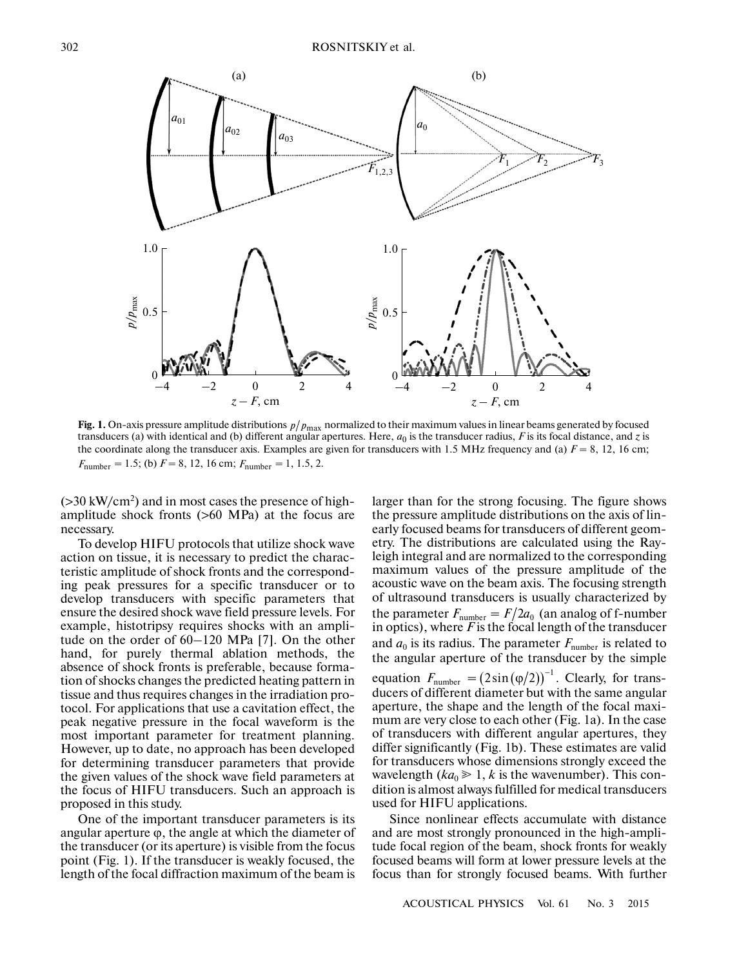

Fig. 1. On-axis pressure amplitude distributions  $p/p_{\text{max}}$  normalized to their maximum values in linear beams generated by focused transducers (a) with identical and (b) different angular apertures. Here,  $a_0$  is the transducer radius, *F* is its focal distance, and *z* is the coordinate along the transducer axis. Examples are given for transducers with 1.5 MHz frequency and (a)  $F = 8$ , 12, 16 cm;  $F_{\text{number}} = 1.5$ ; (b)  $F = 8$ , 12, 16 cm;  $F_{\text{number}} = 1$ , 1.5, 2.

 $($ >30 kW/cm<sup>2</sup> $)$  and in most cases the presence of highamplitude shock fronts (>60 MPa) at the focus are necessary.

To develop HIFU protocols that utilize shock wave action on tissue, it is necessary to predict the charac teristic amplitude of shock fronts and the correspond ing peak pressures for a specific transducer or to develop transducers with specific parameters that ensure the desired shock wave field pressure levels. For example, histotripsy requires shocks with an ampli tude on the order of 60–120 MPa [7]. On the other hand, for purely thermal ablation methods, the absence of shock fronts is preferable, because forma tion of shocks changes the predicted heating pattern in tissue and thus requires changes in the irradiation pro tocol. For applications that use a cavitation effect, the peak negative pressure in the focal waveform is the most important parameter for treatment planning. However, up to date, no approach has been developed for determining transducer parameters that provide the given values of the shock wave field parameters at the focus of HIFU transducers. Such an approach is proposed in this study.

One of the important transducer parameters is its angular aperture  $\varphi$ , the angle at which the diameter of the transducer (or its aperture) is visible from the focus point (Fig. 1). If the transducer is weakly focused, the length of the focal diffraction maximum of the beam is larger than for the strong focusing. The figure shows the pressure amplitude distributions on the axis of lin early focused beams for transducers of different geom etry. The distributions are calculated using the Ray leigh integral and are normalized to the corresponding maximum values of the pressure amplitude of the acoustic wave on the beam axis. The focusing strength of ultrasound transducers is usually characterized by the parameter  $F_{\text{number}} = F/2a_0$  (an analog of f-number in optics), where *F* is the focal length of the transducer and  $a_0$  is its radius. The parameter  $F_{\text{number}}$  is related to the angular aperture of the transducer by the simple in optics), where *F* is the focal length of the transaucer<br>and  $a_0$  is its radius. The parameter  $F_{\text{number}}$  is related to<br>the angular aperture of the transducer by the simple<br>equation  $F_{\text{number}} = (2\sin((\varphi/2)))^{-1}$ . Clearly, f ducers of different diameter but with the same angular aperture, the shape and the length of the focal maxi mum are very close to each other (Fig. 1a). In the case of transducers with different angular apertures, they differ significantly (Fig. 1b). These estimates are valid for transducers whose dimensions strongly exceed the wavelength  $(ka_0 \geq 1, k$  is the wavenumber). This condition is almost always fulfilled for medical transducers used for HIFU applications.  $F_{\text{number}} = F/2a_0$ 

Since nonlinear effects accumulate with distance and are most strongly pronounced in the high-ampli tude focal region of the beam, shock fronts for weakly focused beams will form at lower pressure levels at the focus than for strongly focused beams. With further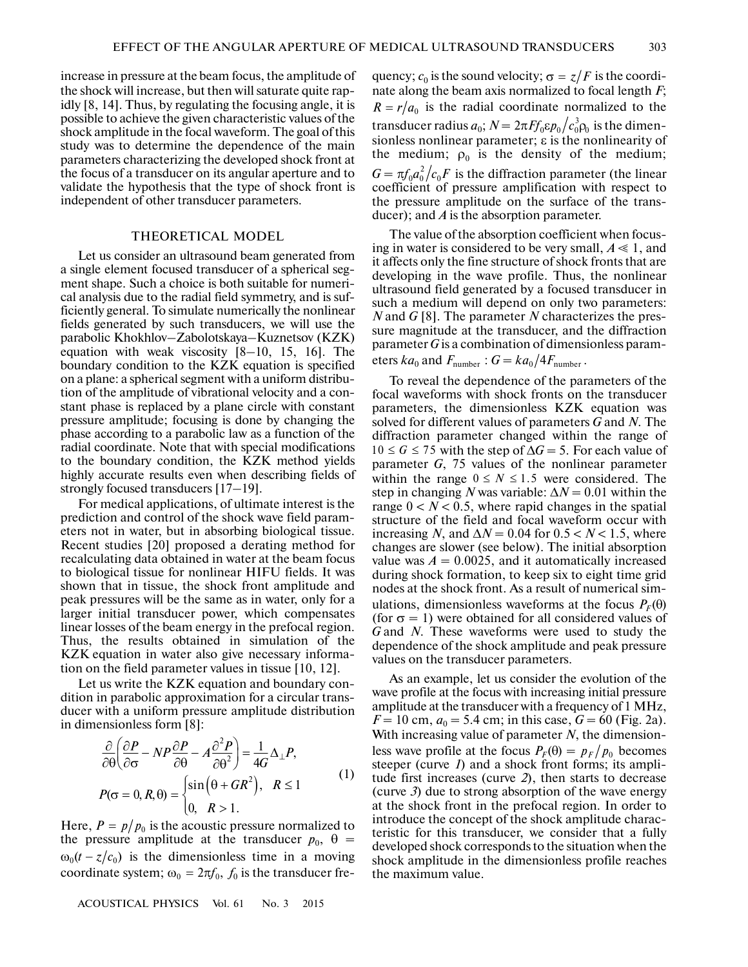increase in pressure at the beam focus, the amplitude of the shock will increase, but then will saturate quite rap idly [8, 14]. Thus, by regulating the focusing angle, it is possible to achieve the given characteristic values of the shock amplitude in the focal waveform. The goal of this study was to determine the dependence of the main parameters characterizing the developed shock front at the focus of a transducer on its angular aperture and to validate the hypothesis that the type of shock front is independent of other transducer parameters.

## THEORETICAL MODEL

Let us consider an ultrasound beam generated from a single element focused transducer of a spherical seg ment shape. Such a choice is both suitable for numeri cal analysis due to the radial field symmetry, and is suf ficiently general. To simulate numerically the nonlinear fields generated by such transducers, we will use the parabolic Khokhlov–Zabolotskaya–Kuznetsov (KZK) equation with weak viscosity [8–10, 15, 16]. The boundary condition to the KZK equation is specified on a plane: a spherical segment with a uniform distribu tion of the amplitude of vibrational velocity and a con stant phase is replaced by a plane circle with constant pressure amplitude; focusing is done by changing the phase according to a parabolic law as a function of the radial coordinate. Note that with special modifications to the boundary condition, the KZK method yields highly accurate results even when describing fields of strongly focused transducers [17–19].

For medical applications, of ultimate interest is the prediction and control of the shock wave field param eters not in water, but in absorbing biological tissue. Recent studies [20] proposed a derating method for recalculating data obtained in water at the beam focus to biological tissue for nonlinear HIFU fields. It was shown that in tissue, the shock front amplitude and peak pressures will be the same as in water, only for a larger initial transducer power, which compensates linear losses of the beam energy in the prefocal region. Thus, the results obtained in simulation of the KZK equation in water also give necessary informa tion on the field parameter values in tissue [10, 12].

Let us write the KZK equation and boundary con dition in parabolic approximation for a circular trans ducer with a uniform pressure amplitude distribution in dimensionless form [8]:

$$
\frac{\partial}{\partial \theta} \left( \frac{\partial P}{\partial \sigma} - NP \frac{\partial P}{\partial \theta} - A \frac{\partial^2 P}{\partial \theta^2} \right) = \frac{1}{4G} \Delta_{\perp} P,
$$
\n
$$
P(\sigma = 0, R, \theta) = \begin{cases} \sin(\theta + GR^2), & R \le 1 \\ 0, & R > 1. \end{cases}
$$
\n(1)

Here,  $P = p/p_0$  is the acoustic pressure normalized to the pressure amplitude at the transducer  $p_0$ ,  $\theta$  =  $\omega_0(t - z/c_0)$  is the dimensionless time in a moving coordinate system;  $\omega_0 = 2\pi f_0$ ,  $f_0$  is the transducer fre-

ACOUSTICAL PHYSICS Vol. 61 No. 3 2015

quency;  $c_0$  is the sound velocity;  $\sigma = z/F$  is the coordinate along the beam axis normalized to focal length *F*; is the radial coordinate normalized to the  $R = r/a_0$  is the radial coordinate normalized to the transducer radius  $a_0; N = 2\pi F f_0 \epsilon p_0 \big/ c_0^3 \rho_0$  is the dimensionless nonlinear parameter; ε is the nonlinearity of the medium;  $\rho_0$  is the density of the medium;  $G = \pi f_0 a_0^2 \big/ c_0 F$  is the diffraction parameter (the linear coefficient of pressure amplification with respect to the pressure amplitude on the surface of the trans ducer); and *A* is the absorption parameter.

The value of the absorption coefficient when focus ing in water is considered to be very small,  $A \leq 1$ , and it affects only the fine structure of shock fronts that are developing in the wave profile. Thus, the nonlinear ultrasound field generated by a focused transducer in such a medium will depend on only two parameters: *N* and *G* [8]. The parameter *N* characterizes the pres sure magnitude at the transducer, and the diffraction parameter *G* is a combination of dimensionless param eters  $ka_0$  and  $F_{\text{number}}$  :  $G = ka_0/4F_{\text{number}}$ .

To reveal the dependence of the parameters of the focal waveforms with shock fronts on the transducer parameters, the dimensionless KZK equation was solved for different values of parameters *G* and *N*. The diffraction parameter changed within the range of  $10 \le G \le 75$  with the step of  $\Delta G = 5$ . For each value of parameter *G*, 75 values of the nonlinear parameter within the range  $0 \le N \le 1.5$  were considered. The step in changing *N* was variable:  $\Delta N = 0.01$  within the range  $0 < N < 0.5$ , where rapid changes in the spatial structure of the field and focal waveform occur with increasing *N*, and  $\Delta N = 0.04$  for  $0.5 < N < 1.5$ , where changes are slower (see below). The initial absorption value was  $A = 0.0025$ , and it automatically increased during shock formation, to keep six to eight time grid nodes at the shock front. As a result of numerical sim ulations, dimensionless waveforms at the focus  $P_F(\theta)$ (for  $\sigma = 1$ ) were obtained for all considered values of *G* and *N*. These waveforms were used to study the dependence of the shock amplitude and peak pressure values on the transducer parameters.

As an example, let us consider the evolution of the wave profile at the focus with increasing initial pressure amplitude at the transducer with a frequency of 1 MHz,  $F = 10$  cm,  $a_0 = 5.4$  cm; in this case,  $G = 60$  (Fig. 2a). With increasing value of parameter *N*, the dimension less wave profile at the focus  $P_F(\theta) = p_F/p_0$  becomes steeper (curve *1*) and a shock front forms; its ampli tude first increases (curve *2*), then starts to decrease (curve *3*) due to strong absorption of the wave energy at the shock front in the prefocal region. In order to introduce the concept of the shock amplitude charac teristic for this transducer, we consider that a fully developed shock corresponds to the situation when the shock amplitude in the dimensionless profile reaches the maximum value.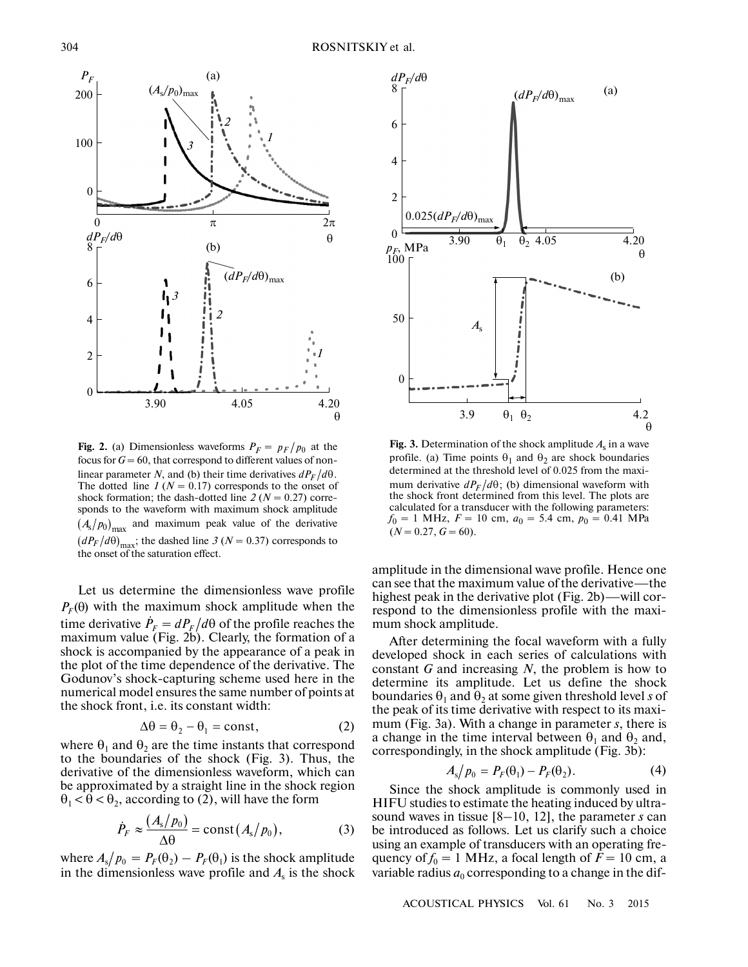

 $\left( \frac{u_1}{f} \right)$  are distributed the saturation effect. **Fig. 2.** (a) Dimensionless waveforms  $P_F = p_F/p_0$  at the focus for  $G = 60$ , that correspond to different values of nonlinear parameter *N*, and (b) their time derivatives  $dP_F/d\theta$ . The dotted line  $I (N = 0.17)$  corresponds to the onset of shock formation; the dash-dotted line  $2 (N = 0.27)$  corresponds to the waveform with maximum shock amplitude  $(A_s/p_0)_{\text{max}}$  and maximum peak value of the derivative  $(dP_F/d\theta)_{\text{max}}$ ; the dashed line 3 ( $N = 0.37$ ) corresponds to

Let us determine the dimensionless wave profile  $P_F(\theta)$  with the maximum shock amplitude when the time derivative  $\dot{P}_F = dP_F/d\theta$  of the profile reaches the maximum value (Fig. 2b). Clearly, the formation of a shock is accompanied by the appearance of a peak in the plot of the time dependence of the derivative. The Godunov's shock-capturing scheme used here in the numerical model ensures the same number of points at the shock front, i.e. its constant width:

$$
\Delta \theta = \theta_2 - \theta_1 = \text{const},\tag{2}
$$

where  $\theta_1$  and  $\theta_2$  are the time instants that correspond<br>to the houndaries of the shoel: (Fig. 2). Thus, the to the boundaries of the shock (Fig. 3). Thus, the derivative of the dimensionless waveform, which can be approximated by a straight line in the shock region  $\theta_1 < \theta < \theta_2$ , according to (2), will have the form

$$
\dot{P}_F \approx \frac{(A_s/p_0)}{\Delta \theta} = \text{const} (A_s/p_0), \tag{3}
$$

where  $A_s / p_0 = P_F(\theta_2) - P_F(\theta_1)$  is the shock amplitude in the dimensionless wave profile and  $A<sub>s</sub>$  is the shock



**Fig. 3.** Determination of the shock amplitude  $A_s$  in a wave profile. (a) Time points  $\theta_1$  and  $\theta_2$  are shock boundaries determined at the threshold level of 0.025 from the maxi mum derivative  $dP_F/d\theta$ ; (b) dimensional waveform with the shock front determined from this level. The plots are calculated for a transducer with the following parameters:  $f_0 = 1$  MHz,  $F = 10$  cm,  $a_0 = 5.4$  cm,  $p_0 = 0.41$  MPa  $(N = 0.27, G = 60).$ 

amplitude in the dimensional wave profile. Hence one can see that the maximum value of the derivative—the highest peak in the derivative plot (Fig. 2b)—will cor respond to the dimensionless profile with the maxi mum shock amplitude.

After determining the focal waveform with a fully developed shock in each series of calculations with constant *G* and increasing *N*, the problem is how to determine its amplitude. Let us define the shock boundaries  $\theta_1$  and  $\theta_2$  at some given threshold level *s* of the peak of its time derivative with respect to its maxi mum (Fig. 3a). With a change in parameter *s*, there is a change in the time interval between  $\theta_1$  and  $\theta_2$  and, correspondingly, in the shock amplitude (Fig. 3b):<br>  $A_s/p_0 = P_F(\theta_1) - P_F(\theta_2).$ 

$$
A_{\rm s}/p_0 = P_F(\theta_1) - P_F(\theta_2). \tag{4}
$$

Since the shock amplitude is commonly used in HIFU studies to estimate the heating induced by ultra sound waves in tissue [8–10, 12], the parameter *s* can be introduced as follows. Let us clarify such a choice using an example of transducers with an operating fre quency of  $f_0 = 1$  MHz, a focal length of  $F = 10$  cm, a variable radius  $a_0$  corresponding to a change in the dif-

ACOUSTICAL PHYSICS Vol. 61 No. 3 2015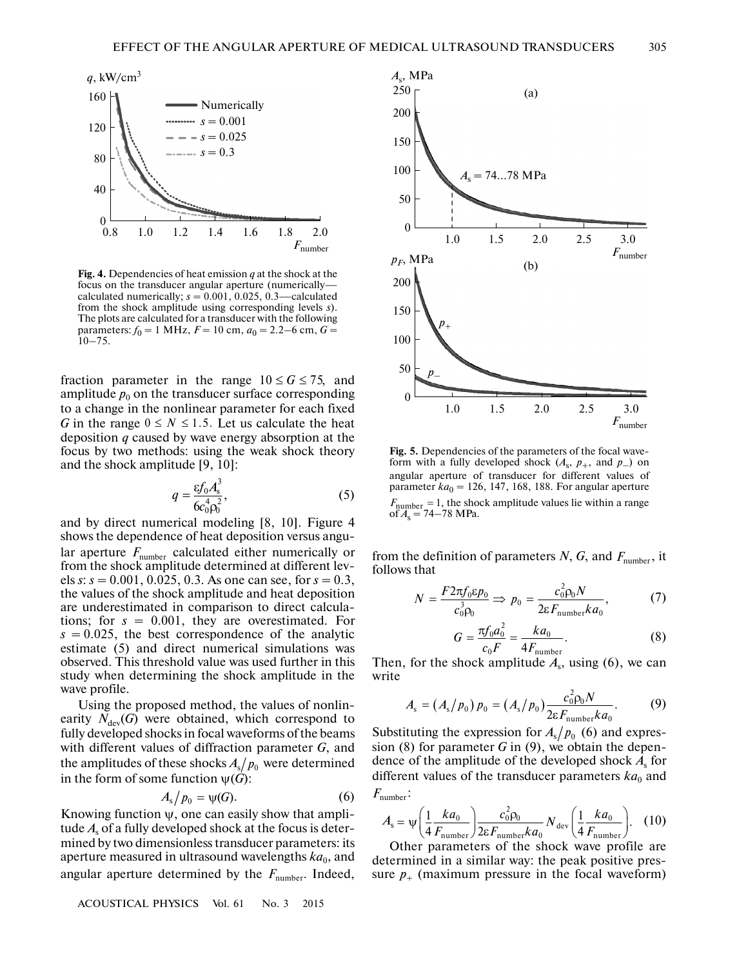

**Fig. 4.** Dependencies of heat emission *q* at the shock at the focus on the transducer angular aperture (numerically calculated numerically;  $s = 0.001, 0.025, 0.3$ —calculated from the shock amplitude using corresponding levels *s*). The plots are calculated for a transducer with the following parameters:  $f_0 = 1$  MHz,  $F = 10$  cm,  $a_0 = 2.2 - 6$  cm,  $G =$  $10 - 75$ .

fraction parameter in the range  $10 \le G \le 75$ , and amplitude  $p_0$  on the transducer surface corresponding to a change in the nonlinear parameter for each fixed G in the range  $0 \leq N \leq 1.5$ . Let us calculate the heat deposition *q* caused by wave energy absorption at the focus by two methods: using the weak shock theory and the shock amplitude [9, 10]:

$$
q = \frac{\varepsilon f_0 A_s^3}{6c_0^4 \rho_0^2},\tag{5}
$$

and by direct numerical modeling [8, 10]. Figure 4 shows the dependence of heat deposition versus angu lar aperture  $F_{\text{number}}$  calculated either numerically or from the shock amplitude determined at different lev els *s*: *s* = 0.001, 0.025, 0.3. As one can see, for *s* = 0.3, the values of the shock amplitude and heat deposition are underestimated in comparison to direct calcula tions; for *s* = 0.001, they are overestimated. For  $s = 0.025$ , the best correspondence of the analytic estimate (5) and direct numerical simulations was observed. This threshold value was used further in this study when determining the shock amplitude in the wave profile.

Using the proposed method, the values of nonlin earity  $N_{\text{dev}}(G)$  were obtained, which correspond to fully developed shocks in focal waveforms of the beams with different values of diffraction parameter *G*, and the amplitudes of these shocks  $A_{\mathrm{s}}/p_0$  were determined in the form of some function  $\psi(\hat{G})$ :<br> $A_{\rm s}/p_0 = \psi(G)$ .

$$
A_{\rm s}/p_0=\psi(G). \tag{6}
$$

Knowing function  $\psi$ , one can easily show that amplitude *A*s of a fully developed shock at the focus is deter mined by two dimensionless transducer parameters: its aperture measured in ultrasound wavelengths  $ka<sub>0</sub>$ , and angular aperture determined by the  $F_{\text{number}}$ . Indeed,

ACOUSTICAL PHYSICS Vol. 61 No. 3 2015



**Fig. 5.** Dependencies of the parameters of the focal wave form with a fully developed shock  $(A_s, p_+$ , and  $p_-$ ) on angular aperture of transducer for different values of parameter  $ka_0 = 126$ , 147, 168, 188. For angular aperture , the shock amplitude values lie within a range of  $A_s = 74 - 78$  MPa.  $F_{\text{number}} = 1$ 

from the definition of parameters  $N$ ,  $G$ , and  $F$ <sub>number</sub>, it follows that

$$
N = \frac{F 2\pi f_0 \varepsilon p_0}{c_0^3 \rho_0} \Rightarrow p_0 = \frac{c_0^2 \rho_0 N}{2\varepsilon F_{\text{number}} k a_0},\tag{7}
$$

$$
G = \frac{\pi f_0 a_0^2}{c_0 F} = \frac{k a_0}{4 F_{\text{number}}}.
$$
 (8)

Then, for the shock amplitude  $A_s$ , using (6), we can write

$$
A_{\rm s} = (A_{\rm s}/p_0) \, p_0 = (A_{\rm s}/p_0) \frac{c_0^2 \rho_0 N}{2 \epsilon F_{\rm number} k a_0}.\tag{9}
$$

Substituting the expression for  $A_s/p_0$  (6) and expression (8) for parameter  $G$  in (9), we obtain the dependence of the amplitude of the developed shock  $A_s$  for different values of the transducer parameters  $ka_0$  and

$$
F_{\rm number} \colon
$$

$$
A_{\rm s} = \psi \left( \frac{1}{4} \frac{k a_0}{F_{\rm number}} \right) \frac{c_0^2 \rho_0}{2 \epsilon F_{\rm number} k a_0} N_{\rm dev} \left( \frac{1}{4} \frac{k a_0}{F_{\rm number}} \right). \tag{10}
$$

Other parameters of the shock wave profile are determined in a similar way: the peak positive pres sure  $p_{+}$  (maximum pressure in the focal waveform)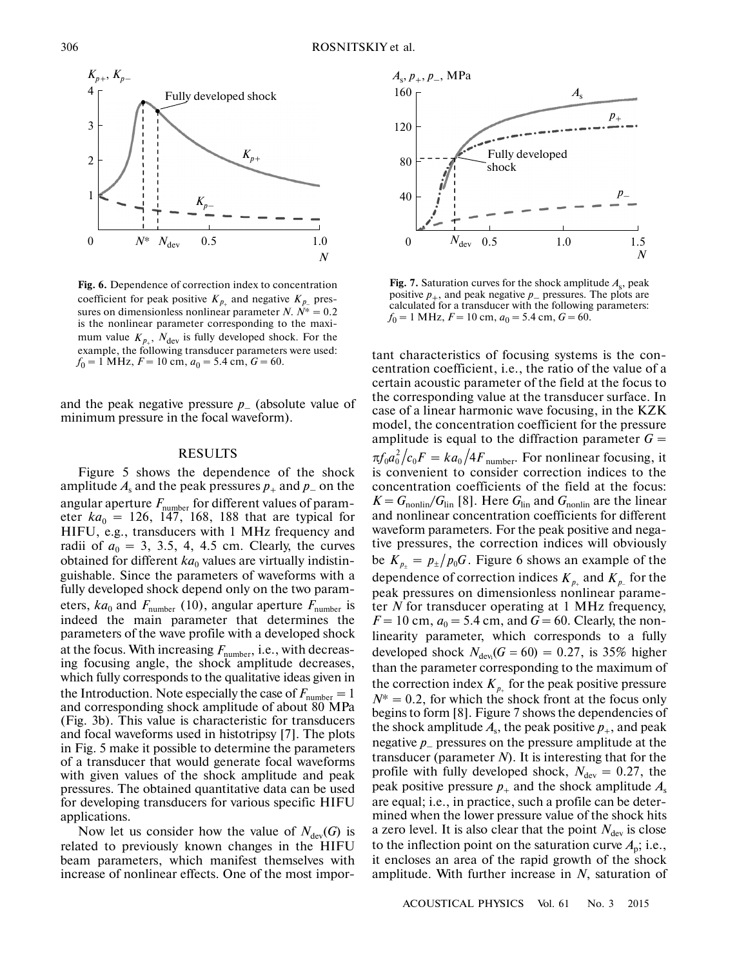

**Fig. 6.** Dependence of correction index to concentration coefficient for peak positive  $K_{p_+}$  and negative  $K_{p_-}$  pressures on dimensionless nonlinear parameter *N*.  $\hat{N}^* = 0.2$ is the nonlinear parameter corresponding to the maxi mum value  $K_{p_+}$ ,  $N_{\text{dev}}$  is fully developed shock. For the example, the following transducer parameters were used:  $f_0 = 1$  MHz,  $F = 10$  cm,  $a_0 = 5.4$  cm,  $G = 60$ .

and the peak negative pressure  $p_{-}$  (absolute value of minimum pressure in the focal waveform).

### RESULTS

Figure 5 shows the dependence of the shock amplitude  $A_s$  and the peak pressures  $p_+$  and  $p_-$  on the angular aperture  $F_{\text{number}}$  for different values of parameter  $ka_0 = 126$ , 147, 168, 188 that are typical for HIFU, e.g., transducers with 1 MHz frequency and radii of  $a_0 = 3$ , 3.5, 4, 4.5 cm. Clearly, the curves obtained for different  $ka_0$  values are virtually indistinguishable. Since the parameters of waveforms with a fully developed shock depend only on the two param eters,  $ka_0$  and  $F_{\text{number}}$  (10), angular aperture  $F_{\text{number}}$  is indeed the main parameter that determines the parameters of the wave profile with a developed shock at the focus. With increasing  $F_{\text{number}}$ , i.e., with decreasing focusing angle, the shock amplitude decreases, which fully corresponds to the qualitative ideas given in the Introduction. Note especially the case of  $F_{\text{number}} = 1$ and corresponding shock amplitude of about 80 MPa (Fig. 3b). This value is characteristic for transducers and focal waveforms used in histotripsy [7]. The plots in Fig. 5 make it possible to determine the parameters of a transducer that would generate focal waveforms with given values of the shock amplitude and peak pressures. The obtained quantitative data can be used for developing transducers for various specific HIFU applications. *F*number

Now let us consider how the value of  $N_{\text{dev}}(G)$  is related to previously known changes in the HIFU beam parameters, which manifest themselves with increase of nonlinear effects. One of the most impor-



**Fig. 7.** Saturation curves for the shock amplitude  $A_s$ , peak positive  $p_+$ , and peak negative  $p_-$  pressures. The plots are calculated for a transducer with the following parameters:  $f_0 = 1$  MHz,  $F = 10$  cm,  $a_0 = 5.4$  cm,  $G = 60$ .

tant characteristics of focusing systems is the con centration coefficient, i.e., the ratio of the value of a certain acoustic parameter of the field at the focus to the corresponding value at the transducer surface. In case of a linear harmonic wave focusing, in the KZK model, the concentration coefficient for the pressure amplitude is equal to the diffraction parameter  $G =$  $\pi f_0 a_0^2 / c_0 F = k a_0 / 4F_{\text{number}}$ . For nonlinear focusing, it is convenient to consider correction indices to the concentration coefficients of the field at the focus:  $K = G_{\text{nonlin}}/G_{\text{lin}}$  [8]. Here  $G_{\text{lin}}$  and  $G_{\text{nonlin}}$  are the linear and nonlinear concentration coefficients for different waveform parameters. For the peak positive and nega tive pressures, the correction indices will obviously be  $K_{p_{+}} = p_{\pm}/p_{0}G$ . Figure 6 shows an example of the dependence of correction indices  $K_{p_+}$  and  $K_{p_-}$  for the peak pressures on dimensionless nonlinear parame ter *N* for transducer operating at 1 MHz frequency,  $F = 10$  cm,  $a_0 = 5.4$  cm, and  $G = 60$ . Clearly, the nonlinearity parameter, which corresponds to a fully developed shock  $N_{\text{dev}}(G = 60) = 0.27$ , is 35% higher than the parameter corresponding to the maximum of the correction index  $K_{p_+}$  for the peak positive pressure  $N^* = 0.2$ , for which the shock front at the focus only begins to form [8]. Figure 7 shows the dependencies of the shock amplitude  $A_s$ , the peak positive  $p_+$ , and peak negative *p*– pressures on the pressure amplitude at the transducer (parameter *N*). It is interesting that for the profile with fully developed shock,  $N_{\text{dev}} = 0.27$ , the peak positive pressure  $p_+$  and the shock amplitude  $A_s$ are equal; i.e., in practice, such a profile can be deter mined when the lower pressure value of the shock hits a zero level. It is also clear that the point  $N_{\text{dev}}$  is close to the inflection point on the saturation curve  $A_p$ ; i.e., it encloses an area of the rapid growth of the shock amplitude. With further increase in *N*, saturation of